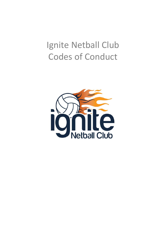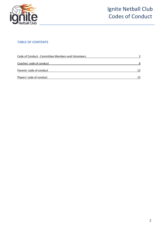

### **TABLE OF CONTENTS**

| Code of Conduct - Committee Members and Volunteers |    |
|----------------------------------------------------|----|
| Coaches' code of conduct                           |    |
| Parents' code of conduct                           | 12 |
| Players' code of conduct                           | 15 |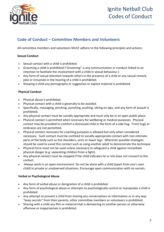

### **Code of Conduct – Committee Members and Volunteers**

All committee members and volunteers MUST adhere to the following principles and actions:

#### **Sexual Conduct**

- Sexual contact with a child is prohibited.
- Grooming a child is prohibited ("Grooming" is any communication or conduct linked to an intention to facilitate the involvement with a child in sexual behaviour.)
- Any form of sexual attention towards others in the presence of a child or any sexual remark, joke or innuendo in the hearing of a child is prohibited.
- Showing a child any pornography or suggestive or explicit material is prohibited.

#### **Physical Conduct**

- Physical abuse is prohibited.
- Physical contact with a child is generally to be avoided.
- Specifically, massaging, pinching, punching, pushing, sitting on laps, and any form of assault is prohibited.
- Any physical contact must be socially appropriate and must only be in an open public place.
- Physical contact is permitted when necessary for wellbeing or medical purposes. Physical contact may be provided to comfort a distressed child in the form of a side hug. Front hugs or embraces are not permitted.
- Physical contact necessary for coaching purposes is allowed but only when considered necessary. Such contact must be confined to socially appropriate contact with non-intimate parts of the body such as the shoulders, arms or lower legs. Wherever possible strategies should be used to avoid this contact such as using another adult to demonstrate the technique.
- Physical force must not be used unless necessary to safeguard a child against immediate physical danger (e.g. separating children from a fight).
- Any physical contact must be stopped if the child indicates he or she does not consent to the contact.
- Always work in an open environment. Do not be alone with a child (apart from one's own child) in private or unobserved situations. Encourage open communication with no secrets.

#### **Verbal or Psychological Abuse**

- Any form of verbal abuse or denigration of a child is prohibited.
- Any form of psychological abuse or attempts to psychologically control or manipulate a child is prohibited.
- Any attempt to prevent a child from sharing any conversations or information or in any way "keep secrets" from their parents, other committee members or volunteers is prohibited.
- Sharing with a child any film or material that is demeaning to another person or otherwise offensive or inappropriate is prohibited.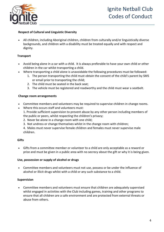

#### **Respect of Cultural and Linguistic Diversity**

• All children, including Aboriginal children, children from culturally and/or linguistically diverse backgrounds, and children with a disability must be treated equally and with respect and dignity.

#### **Transport**

- Avoid being alone in a car with a child. It is always preferable to have your own child or other children in the car whilst transporting a child.
- Where transporting a child alone is unavoidable the following procedures must be followed:
	- 1. The person transporting the child must obtain the consent of the child's parent by SMS or email prior to transporting the child;
	- 2. The child must be seated in the back seat;
	- 3. The vehicle must be registered and roadworthy and the child must wear a seatbelt.

#### **Change room arrangements**

- Committee members and volunteers may be required to supervise children in change rooms.
- Where this occurs staff and volunteers must: 1. Provide sufficient supervision to prevent abuse by any other person including members of
	- the public or peers, whilst respecting the children's privacy;
	- 2. Never be alone in a change room with one child;
	- 3. Not undress or change themselves whilst in the change room with children;
	- 4. Males must never supervise female children and females must never supervise male children.

#### **Gifts**

• Gifts from a committee member or volunteer to a child are only acceptable as a reward or prize and must be given in a public area with no secrecy about the gift or why it is being given.

#### **Use, possession or supply of alcohol or drugs**

• Committee members and volunteers must not use, possess or be under the influence of alcohol or illicit drugs whilst with a child or any such substance to a child.

#### **Supervision**

• Committee members and volunteers must ensure that children are adequately supervised whilst engaged in activities with the Club including games, training and other programs to ensure that all children are a safe environment and are protected from external threats or abuse from others.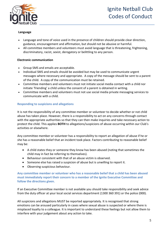

#### **Language**

- Language and tone of voice used in the presence of children should provide clear direction, guidance, encouragement and affirmation, but should not be abusive or harmful.
- All committee members and volunteers must avoid language that is threatening, frightening, discriminatory, racist, sexist, derogatory or belittling to any person.

#### **Electronic communication**

- Group SMS and emails are acceptable.
- Individual SMS and emails should be avoided but may be used to communicate urgent messages where necessary and appropriate. A copy of the message should be sent to a parent of the child. A copy of the communication must be retained.
- Committee members and volunteers must not initiate social media contact with a child nor initiate 'friending' a child unless the consent of a parent is obtained in writing.
- Committee members and volunteers must not use social media private messaging services to communicate with a child.

#### **Responding to suspicions and allegations**

It is not the responsibility of any committee member or volunteer to decide whether or not child abuse has taken place. However, there is a responsibility to act on any concerns through contact with the appropriate authorities so that they can then make inquiries and take necessary action to protect the child. This applies **BOTH** to allegations/suspicions of abuse occurring within our Club's activities or elsewhere.

Any committee member or volunteer has a responsibility to report an allegation of abuse if he or she has a reasonable belief that an incident took place. Factors contributing to reasonable belief may be:

- A child states they or someone they know has been abused (noting that sometimes the child may in fact be referring to themselves).
- Behaviour consistent with that of an abuse victim is observed.
- Someone else has raised a suspicion of abuse but is unwilling to report it.
- Observing suspicious behaviour.

**Any committee member or volunteer who has a reasonable belief that a child has been abused must immediately report their concern to a member of the Ignite Executive Committee and follow the directions given.**

If an Executive Committee member is not available you should take responsibility and seek advice from the duty officer at your local social services department (1300 360 391) or the police (000).

All suspicions and allegations MUST be reported appropriately. It is recognised that strong emotions can be aroused particularly in cases where sexual abuse is suspected or where there is misplaced loyalty to a colleague. It is important to understand these feelings but not allow them to interfere with your judgement about any action to take.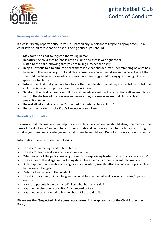

#### **Receiving evidence of possible abuse**

If a child directly reports abuse to you it is particularly important to respond appropriately. If a child says or indicates that he or she is being abused, you should:

- **Stay calm** so as not to frighten the young person.
- **Reassure** the child that he/she is not to blame and that it was right to tell.
- **Listen** to the child, showing that you are taking him/her seriously.
- **Keep questions to a minimum** so that there is a clear and accurate understanding of what has been said. The law is very strict and child abuse cases have been dismissed where it is felt that the child has been led or words and ideas have been suggested during questioning. Only ask questions to clarify.
- **Inform** the child that you have to inform other people about what he/she has told you. Tell the child this is to help stop the abuse from continuing.
- **Safety of the child** is paramount. If the child needs urgent medical attention call an ambulance, inform the doctors of the concern and ensure they are made aware that this is a child protection issue.
- **Record** all information on the "Suspected Child Abuse Report Form".
- **Report** the incident to the Club's Executive Committee.

#### **Recording Information**

To ensure that information is as helpful as possible, a detailed record should always be made at the time of the disclosure/concern. In recording you should confine yourself to the facts and distinguish what is your personal knowledge and what others have told you. Do not include your own opinions.

Information should include the following:

- The child's name, age and date of birth
- The child's home address and telephone number
- Whether or not the person making the report is expressing his/her concern or someone else's
- The nature of the allegation, including dates, times and any other relevant information
- A description of any visible bruising or injury, location, size etc. Also any indirect signs, such as behavioural changes
- Details of witnesses to the incident
- The child's account, if it can be given, of what has happened and how any bruising/injuries occurred
- Have the parents been contacted? If so what has been said?
- Has anyone else been consulted? If so record details
- Has anyone been alleged to be the abuser? Record details.

Please see the "**Suspected child abuse report form**" in the appendices of the Child Protection Policy.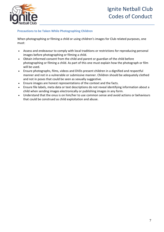

#### **Precautions to be Taken While Photographing Children**

When photographing or filming a child or using children's images for Club related purposes, one must:

- Assess and endeavour to comply with local traditions or restrictions for reproducing personal images before photographing or filming a child.
- Obtain informed consent from the child and parent or guardian of the child before photographing or filming a child. As part of this one must explain how the photograph or film will be used.
- Ensure photographs, films, videos and DVDs present children in a dignified and respectful manner and not in a vulnerable or submissive manner. Children should be adequately clothed and not in poses that could be seen as sexually suggestive.
- Ensure images are honest representations of the context and the facts.
- Ensure file labels, meta data or text descriptions do not reveal identifying information about a child when sending images electronically or publishing images in any form.
- Understand that the onus is on him/her to use common sense and avoid actions or behaviours that could be construed as child exploitation and abuse.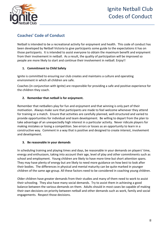

### **Coaches' Code of Conduct**

Netball is intended to be a recreational activity for enjoyment and health. This code of conduct has been developed by Netball Victoria to give participants some guide to the expectations it has on those participants. It is intended to assist everyone to obtain the maximum benefit and enjoyment from their involvement in netball. As a result, the quality of participation will be improved so people are more likely to start and continue their involvement in netball. Enjoy!!

#### **1. Commitment to Child Safety**

Ignite is committed to ensuring our club creates and maintains a culture and operating environment in which all children are safe.

Coaches (in conjunction with Ignite) are responsible for providing a safe and positive experience for the children they coach.

#### **2. Remember that netball is for enjoyment.**

Remember that netballers play for fun and enjoyment and that winning is only part of their motivation. Always make sure that participants are made to feel welcome whenever they attend for training or a match. Ensure that activities are carefully planned, well-structured and varied to provide opportunities for individual and team development. Be willing to depart from the plan to take advantage of an unexpectedly high interest in a particular activity. Never ridicule players for making mistakes or losing a competition. See errors or losses as an opportunity to learn in a constructive way. Comment in a way that is positive and designed to create interest, involvement and development.

#### **3. Be reasonable in your demands**

In scheduling training and playing times and days, be reasonable in your demands on players' time, energy and enthusiasm, taking into account their age, level of play and other commitments such as school and employment. Young children are likely to have more time but short attention spans. They may have plenty of energy but are likely to need more guidance on how best to look after their bodies. The differences in physical and mental maturity can be quite marked in younger children of the same age group. All these factors need to be considered in coaching young children.

Older children have greater demands from their studies and many of them need to work to assist their schooling. They also have many social demands. Try to assist them in achieving a good balance between the various demands on them. Adults should in most cases be capable of making their own decisions on priority between netball and other demands such as work, family and social engagements. Respect those decisions.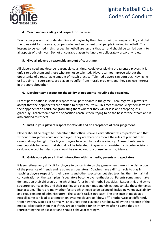

#### **4. Teach understanding and respect for the rules.**

Teach your players that understanding and playing by the rules is their own responsibility and that the rules exist for the safety, proper order and enjoyment of all people involved in netball. The lessons to be learned in this respect in netball are lessons that can and should be carried over into all aspects of their lives. Do not encourage players to ignore or deliberately break any rules.

#### **5. Give all players a reasonable amount of court time.**

All players need and deserve reasonable court time. Avoid over-playing the talented players. It is unfair to both them and those who are not so talented. Players cannot improve without the opportunity of a reasonable amount of match practice. Talented players can burn out. Having no or little time in court can cause players to suffer from morale problems and they can lose interest in the sport altogether.

#### **6. Develop team respect for the ability of opponents including their coaches.**

Part of participation in sport is respect for all participants in the game. Encourage your players to accept that their opponents are entitled to proper courtesy. This means introducing themselves to their opponents on court, congratulating them whether they win or lose and accepting loss gracefully. Teach them that the opposition coach is there trying to do the best for their team and is also entitled to respect.

#### **7. Instil in your players respect for officials and an acceptance of their judgement.**

Players should be taught to understand that officials have a very difficult task to perform and that without them games could not be played. They are there to enforce the rules of play but they cannot always be right. Teach your players to accept bad calls graciously. Abuse of referees is unacceptable behaviour that should not be tolerated. Players who consistently dispute decisions or do not accept bad decisions should be singled out for counselling and guidance.

#### **8. Guide your players in their interaction with the media, parents and spectators.**

It is sometimes very difficult for players to concentrate on the game when there is the distraction of the presence of friends and relatives as spectators. Coaches have a difficult role to play in teaching players respect for their parents and other spectators but also teaching them to maintain concentration on the team plan if spectators become over-enthusiastic. Parents sometimes make demands on their children's time which interferes in their netball activities. Respect this and try to structure your coaching and their training and playing times and obligations to take those demands into account. There are many other factors which need to be balanced, including venue availability and requirements of administrators. The coach's task is not easy. The presence of media at a netball game can lead to a temptation by some players to "show off" or otherwise act differently from how they would act normally. Encourage your players to not be awed by the presence of the media. Also teach them that if they are approached for an interview after a game they are representing the whole sport and should behave accordingly.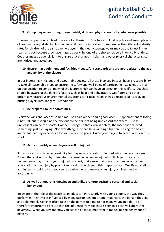

#### **9. Group players according to age, height, skills and physical maturity, whenever possible.**

Uneven competition can lead to a loss of enthusiasm. Coaches should always try and group players of reasonably equal ability. In coaching children it is important to remember the different maturity rates for children of the same age. A player in their early teenage years may be the tallest in their team and yet because they have matured early, be one of the shorter players in only a brief time. Coaches must be ever vigilant to ensure that changes in height and other physical characteristics are noticed and acted upon.

#### **10. Ensure that equipment and facilities meet safety standards and are appropriate to the age and ability of the players.**

In our increasingly litigious and accountable society, all those involved in sport have a responsibility to take all reasonable steps to ensure the safety and well-being of participants. Coaches are in a unique position to control many of the factors which can have an effect on this welfare. Coaches should be aware of the dangers factors such as heat and dehydration, wet floors and other potentially hazardous environmental situations can cause. A coach has a responsibility to avoid putting players into dangerous conditions.

#### **11. Be prepared to lose sometimes.**

Everyone wins and loses at some time. Be a fair winner and a good loser. Disappointment at losing is natural, but it should not be obvious to the point of being unpleasant for others. Just as unpleasant can be the boastful winner. Recognise that even in defeat, the loser has achieved something, just by playing. Not everything in life can be a winning situation. Losing can be an important learning experience for your wider life goals. Guide your players to accept a loss in this spirit.

#### **12. Act responsibly when players are ill or injured.**

Show concern and take responsibility for players who are sick or injured whilst under your care. Follow the advice of a physician when determining when an injured or ill player is ready to recommence play. If a player is injured on court, make sure that there is no danger of further aggravation of the injury by prompt removal of the player if this is appropriate. Qualify yourself to administer first aid so that you can recognise the seriousness of an injury or illness and act accordingly.

#### **13. As well as imparting knowledge and skills, promote desirable personal and social behaviours.**

Be aware of the role of the coach as an educator. Particularly with young people, the way they perform in their lives is influenced by many factors. An important influence is the person they see as a role model. Coaches often take on the part of role model for many young people. It is therefore important to ensure that the influence from coaches is seen in a positive light rather adversely. What you say and how you act can be most important in modelling the behaviour of players.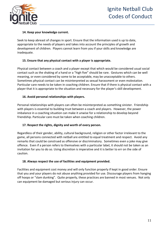

#### **14. Keep your knowledge current.**

Seek to keep abreast of changes in sport. Ensure that the information used is up to date, appropriate to the needs of players and takes into account the principles of growth and development of children. Players cannot learn from you if your skills and knowledge are inadequate.

#### **15. Ensure that any physical contact with a player is appropriate.**

Physical contact between a coach and a player except that which would be considered usual social contact such as the shaking of a hand or a "high five" should be rare. Gestures which can be well meaning, or even considered by some to be acceptable, may be unacceptable to others. Sometimes physical contact can be misinterpreted as sexual harassment or even molestation. Particular care needs to be taken in coaching children. Ensure that if there is physical contact with a player that it is appropriate to the situation and necessary for the player's skill development.

#### **16. Avoid personal relationships with players.**

Personal relationships with players can often be misinterpreted as something sinister. Friendship with players is essential to building trust between a coach and players. However, the power imbalance in a coaching situation can make it unwise for a relationship to develop beyond friendship. Particular care must be taken when coaching children.

#### **17. Respect the rights, dignity and worth of every person.**

Regardless of their gender, ability, cultural background, religion or other factor irrelevant to the game, all persons connected with netball are entitled to equal treatment and respect. Avoid any remarks that could be construed as offensive or discriminatory. Sometimes even a joke may give offence. Even if a person refers to themselves with a particular label, it should not be taken as an invitation for you to do so. Using discretion is imperative and it is better to err on the side of caution.

#### **18. Always respect the use of facilities and equipment provided.**

Facilities and equipment cost money and will only function properly if kept in good order. Ensure that you and your players do not abuse anything provided for use. Discourage players from hanging off hoops or "slam dunking". Quite properly, these practices are banned in most venues. Not only can equipment be damaged but serious injury can occur.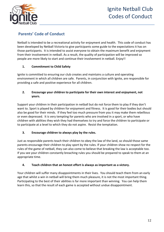

### **Parents' Code of Conduct**

Netball is intended to be a recreational activity for enjoyment and health. This code of conduct has been developed by Netball Victoria to give participants some guide to the expectations it has on those participants. It is intended to assist everyone to obtain the maximum benefit and enjoyment from their involvement in netball. As a result, the quality of participation will be improved so people are more likely to start and continue their involvement in netball. Enjoy!!

#### **1. Commitment to Child Safety**

Ignite is committed to ensuring our club creates and maintains a culture and operating environment in which all children are safe. Parents, in conjunction with Ignite, are responsible for providing a safe and positive experience for all children.

#### **2. Encourage your children to participate for their own interest and enjoyment, not yours.**

Support your children in their participation in netball but do not force them to play if they don't want to. Sport is played by children for enjoyment and fitness. It is good for their bodies but should also be good for their minds. If they feel too much pressure from you it may make them rebellious or even depressed. It is very tempting for parents who are involved in a sport, or who have children with abilities they wish they had themselves to try and force the children to participate or to participate at a level to which they do not aspire. Resist the temptation.

#### **3. Encourage children to always play by the rules.**

Just as responsible parents teach their children to obey the law of the land, so should those same parents encourage their children to play sport by the rules. If your children show no respect for the rules of the game of netball, they can also come to believe that breaking the law is acceptable too. If you see your children constantly breaching rules you should be prepared to speak to them at an appropriate time.

#### **4. Teach children that an honest effort is always as important as a victory.**

Your children will suffer many disappointments in their lives. You should teach them from an early age that whilst a win in netball will bring them much pleasure, it is not the most important thing. Participating to the best of their abilities is far more important than winning. You can help them learn this, so that the result of each game is accepted without undue disappointment.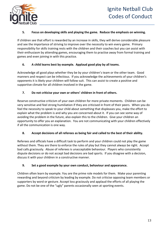

#### **5. Focus on developing skills and playing the game. Reduce the emphasis on winning.**

If children see that effort is rewarded by an increase in skills, they will derive considerable pleasure and see the importance of striving to improve over the necessity to win every game. Primary responsibility for skills training rests with the children and their coaches but you can assist with their enthusiasm by attending games, encouraging them to practise away from formal training and games and even joining in with this practice.

#### **6. A child learns best by example. Applaud good play by all teams.**

Acknowledge all good plays whether they be by your children's team or the other team. Good manners and respect can be infectious. If you acknowledge the achievements of your children's opponents it is likely your children will follow suit. This can assist to create a positive and supportive climate for all children involved in the game.

#### **7. Do not criticise your own or others' children in front of others.**

Reserve constructive criticism of your own children for more private moments. Children can be very sensitive and feel strong humiliation if they are criticised in front of their peers. When you do feel the necessity to speak to your child about something that displeases you, make the effort to explain what the problem is and why you are concerned about it. If you can see some way of avoiding the problem in the future, also explain this to the children. Give your children an opportunity to offer you an explanation. You are not communicating with your children effectively if all the communication is one way.

#### **8. Accept decisions of all referees as being fair and called to the best of their ability.**

Referees and officials have a difficult task to perform and your children could not play the game without them. They are there to enforce the rules of play but they cannot always be right. Accept bad calls graciously. Abuse of referees is unacceptable behaviour. Players who consistently dispute decisions or do not accept bad decisions are bad sports. If you disagree with a decision, discuss it with your children in a constructive manner.

#### **9. Set a good example by your own conduct, behaviour and appearance.**

Children often learn by example. You are the prime role models for them. Make your parenting rewarding and beyond criticism by leading by example. Do not criticise opposing team members or supporters by word or gesture. Accept loss graciously and applaud the efforts of all playing the game. Do not be one of the "ugly" parents occasionally seen at sporting events.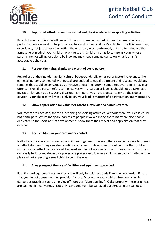

#### **10. Support all efforts to remove verbal and physical abuse from sporting activities.**

Parents have considerable influence in how sports are conducted. Often they are called on to perform volunteer work to help organise their and others' children's activities. Use this rewarding experience, not just to assist in getting the necessary work performed, but also to influence the atmosphere in which your children play the sport. Children not as fortunate as yours whose parents are not willing or able to be involved may need some guidance on what is or isn't acceptable behaviour.

#### **11. Respect the rights, dignity and worth of every person.**

Regardless of their gender, ability, cultural background, religion or other factor irrelevant to the game, all persons connected with netball are entitled to equal treatment and respect. Avoid any remarks that could be construed as offensive or discriminatory. Sometimes even a joke may give offence. Even if a person refers to themselves with a particular label, it should not be taken as an invitation for you to do so. Using discretion is imperative and it is better to err on the side of caution. Your children will most likely follow your lead in matters of discrimination and vilification.

#### **12. Show appreciation for volunteer coaches, officials and administrators.**

Volunteers are necessary for the functioning of sporting activities. Without them, your child could not participate. Whilst many are parents of people involved in the sport, many are also people dedicated to the sport and its development. Show them the respect and appreciation that they deserve.

#### **13. Keep children in your care under control.**

Netball encourages you to bring your children to games. However, there can be dangers to them in a netball stadium. They can also constitute a danger to players. You should ensure that children with you at a netball game are well behaved and do not wander onto or too near to courts. They can easily be knocked down by a player or a player can trip over a child when concentrating on the play and not expecting a small child to be in the way.

#### **14. Always respect the use of facilities and equipment provided.**

Facilities and equipment cost money and will only function properly if kept in good order. Ensure that you do not abuse anything provided for use. Discourage your children from engaging in dangerous practices such as hanging off hoops or "slam dunking". Quite properly, these practices are banned in most venues. Not only can equipment be damaged but serious injury can occur.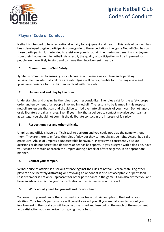

### **Players' Code of Conduct**

Netball is intended to be a recreational activity for enjoyment and health. This code of conduct has been developed to give participants some guide to the expectations the Ignite Netball Club has on those participants. It is intended to assist everyone to obtain the maximum benefit and enjoyment from their involvement in netball. As a result, the quality of participation will be improved so people are more likely to start and continue their involvement in netball.

#### **1. Commitment to Child Safety**

Ignite is committed to ensuring our club creates and maintains a culture and operating environment in which all children are safe. Ignite will be responsible for providing a safe and positive experience for the children involved with this club.

#### **2. Understand and play by the rules.**

Understanding and playing by the rules is your responsibility. The rules exist for the safety, proper order and enjoyment of all people involved in netball. The lessons to be learned in this respect in netball are lessons that can and should be carried over into all aspects of your lives. Do not ignore or deliberately break any rules. Even if you think that a deliberate contact may give your team an advantage, you should not commit the deliberate contact in the interests of fair play.

#### **3. Respect umpires and other officials.**

Umpires and officials have a difficult task to perform and you could not play the game without them. They are there to enforce the rules of play but they cannot always be right. Accept bad calls graciously. Abuse of umpires is unacceptable behaviour. Players who consistently dispute decisions or do not accept bad decisions appear as bad sports. If you disagree with a decision, have your coach or captain approach the umpire during a break or after the game, in an appropriate manner.

#### **4. Control your temper.**

Verbal abuse of officials is a serious offence against the rules of netball. Verbally abusing other players or deliberately distracting or provoking an opponent is also not acceptable or permitted. Loss of temper is not only unpleasant for other participants in the game; it can also distract you and have an adverse effect on your concentration and effectiveness on the court.

#### **5. Work equally hard for yourself and for your team.**

You owe it to yourself and others involved in your team to train and play to the best of your abilities. Your team's performance will benefit - so will you. If you are half-hearted about your involvement in the sport you will become dissatisfied and lose out on the much of the enjoyment and satisfaction you can derive from giving it your best.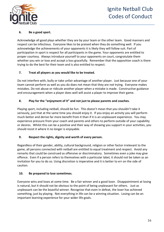

#### **6. Be a good sport.**

Acknowledge all good plays whether they are by your team or the other team. Good manners and respect can be infectious. Everyone likes to be praised when they do something well. If you acknowledge the achievements of your opponents it is likely they will follow suit. Part of participation in sport is respect for all participants in the game. Your opponents are entitled to proper courtesy. Always introduce yourself to your opponents on court, congratulate them whether you win or lose and accept a loss gracefully. Remember that the opposition coach is there trying to do the best for their team and is also entitled to respect.

#### **7. Treat all players as you would like to be treated.**

Do not interfere with, bully or take unfair advantage of another player. Just because one of your team cannot perform as well as you do does not mean that they are not trying. Everyone makes mistakes. Do not abuse or ridicule another player when a mistake is made. Constructive guidance and encouragement when a player does well will assist a player to improve their game.

#### **8. Play for the "enjoyment of it" and not just to please parents and coaches.**

Playing sport, including netball, should be fun. This doesn't mean that you shouldn't take it seriously, just that at the same time you should enjoy it. If you enjoy an activity you will perform much better and derive far more benefit from it than if it is an unpleasant experience. You may experience pressure from your coach and parents and others to perform outside of your capability or desires. Whilst this can be a positive and their way of showing you support in your activities, you should resist it where it no longer is enjoyable.

#### **9. Respect the rights, dignity and worth of every person.**

Regardless of their gender, ability, cultural background, religion or other factor irrelevant to the game, all persons connected with netball are entitled to equal treatment and respect. Avoid any remarks that could be construed as offensive or discriminatory. Sometimes even a joke may give offence. Even if a person refers to themselves with a particular label, it should not be taken as an invitation for you to do so. Using discretion is imperative and it is better to err on the side of caution.

#### **10. Be prepared to lose sometimes.**

Everyone wins and loses at some time. Be a fair winner and a good loser. Disappointment at losing is natural, but it should not be obvious to the point of being unpleasant for others. Just as unpleasant can be the boastful winner. Recognise that even in defeat, the loser has achieved something, just by playing. Not everything in life can be a winning situation. Losing can be an important learning experience for your wider life goals.